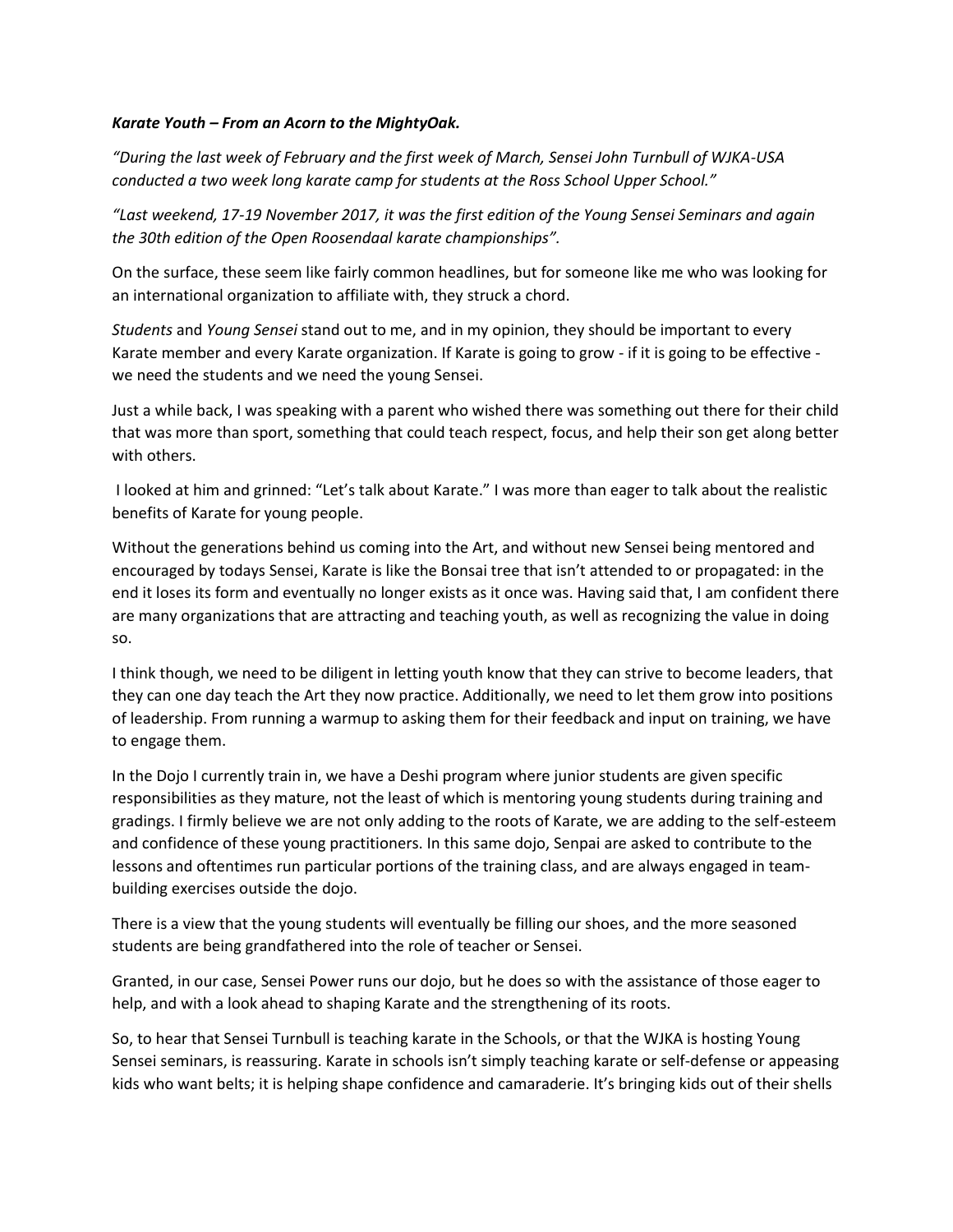## *Karate Youth – From an Acorn to the MightyOak.*

*"During the last week of February and the first week of March, Sensei John Turnbull of WJKA-USA conducted a two week long karate camp for students at the Ross School Upper School."*

*"Last weekend, 17-19 November 2017, it was the first edition of the Young Sensei Seminars and again the 30th edition of the Open Roosendaal karate championships".*

On the surface, these seem like fairly common headlines, but for someone like me who was looking for an international organization to affiliate with, they struck a chord.

*Students* and *Young Sensei* stand out to me, and in my opinion, they should be important to every Karate member and every Karate organization. If Karate is going to grow - if it is going to be effective we need the students and we need the young Sensei.

Just a while back, I was speaking with a parent who wished there was something out there for their child that was more than sport, something that could teach respect, focus, and help their son get along better with others.

I looked at him and grinned: "Let's talk about Karate." I was more than eager to talk about the realistic benefits of Karate for young people.

Without the generations behind us coming into the Art, and without new Sensei being mentored and encouraged by todays Sensei, Karate is like the Bonsai tree that isn't attended to or propagated: in the end it loses its form and eventually no longer exists as it once was. Having said that, I am confident there are many organizations that are attracting and teaching youth, as well as recognizing the value in doing so.

I think though, we need to be diligent in letting youth know that they can strive to become leaders, that they can one day teach the Art they now practice. Additionally, we need to let them grow into positions of leadership. From running a warmup to asking them for their feedback and input on training, we have to engage them.

In the Dojo I currently train in, we have a Deshi program where junior students are given specific responsibilities as they mature, not the least of which is mentoring young students during training and gradings. I firmly believe we are not only adding to the roots of Karate, we are adding to the self-esteem and confidence of these young practitioners. In this same dojo, Senpai are asked to contribute to the lessons and oftentimes run particular portions of the training class, and are always engaged in teambuilding exercises outside the dojo.

There is a view that the young students will eventually be filling our shoes, and the more seasoned students are being grandfathered into the role of teacher or Sensei.

Granted, in our case, Sensei Power runs our dojo, but he does so with the assistance of those eager to help, and with a look ahead to shaping Karate and the strengthening of its roots.

So, to hear that Sensei Turnbull is teaching karate in the Schools, or that the WJKA is hosting Young Sensei seminars, is reassuring. Karate in schools isn't simply teaching karate or self-defense or appeasing kids who want belts; it is helping shape confidence and camaraderie. It's bringing kids out of their shells